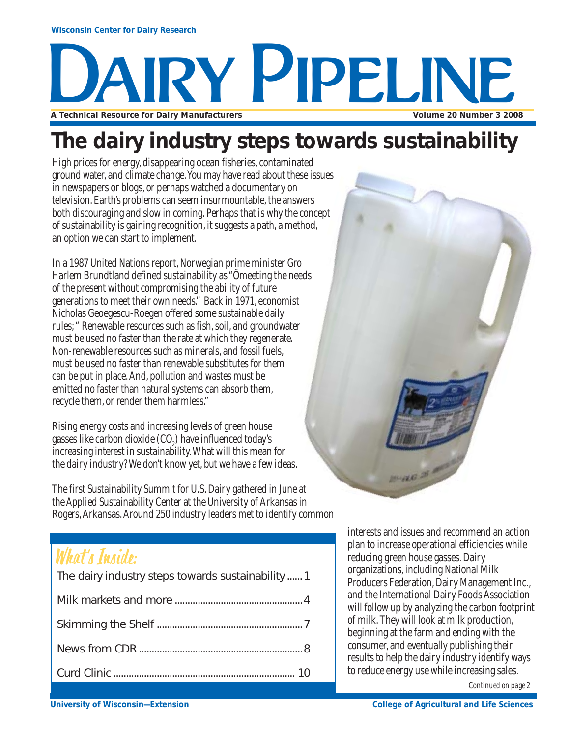# **A Technical Resource for Dairy Manufacturers Volume 20 Number 3 2008** AIRY PIPELINE

### **The dairy industry steps towards sustainability**

High prices for energy, disappearing ocean fisheries, contaminated ground water, and climate change. You may have read about these issues in newspapers or blogs, or perhaps watched a documentary on television. Earth's problems can seem insurmountable, the answers both discouraging and slow in coming. Perhaps that is why the concept of sustainability is gaining recognition, it suggests a path, a method, an option we can start to implement.

In a 1987 United Nations report, Norwegian prime minister Gro Harlem Brundtland defined sustainability as "Ömeeting the needs of the present without compromising the ability of future generations to meet their own needs." Back in 1971, economist Nicholas Geoegescu-Roegen offered some sustainable daily rules; " Renewable resources such as fish, soil, and groundwater must be used no faster than the rate at which they regenerate. Non-renewable resources such as minerals, and fossil fuels, must be used no faster than renewable substitutes for them can be put in place. And, pollution and wastes must be emitted no faster than natural systems can absorb them, recycle them, or render them harmless."

Rising energy costs and increasing levels of green house gasses like carbon dioxide  $({\rm CO}_2)$  have influenced today's increasing interest in sustainability. What will this mean for the dairy industry? We don't know yet, but we have a few ideas.

The first Sustainability Summit for U.S. Dairy gathered in June at the Applied Sustainability Center at the University of Arkansas in Rogers, Arkansas. Around 250 industry leaders met to identify common

### What's Inside:

| The dairy industry steps towards sustainability  1 |
|----------------------------------------------------|
|                                                    |
|                                                    |
|                                                    |
|                                                    |
|                                                    |



interests and issues and recommend an action plan to increase operational efficiencies while reducing green house gasses. Dairy organizations, including National Milk Producers Federation, Dairy Management Inc., and the International Dairy Foods Association will follow up by analyzing the carbon footprint of milk. They will look at milk production, beginning at the farm and ending with the consumer, and eventually publishing their results to help the dairy industry identify ways to reduce energy use while increasing sales.

*Continued on page 2*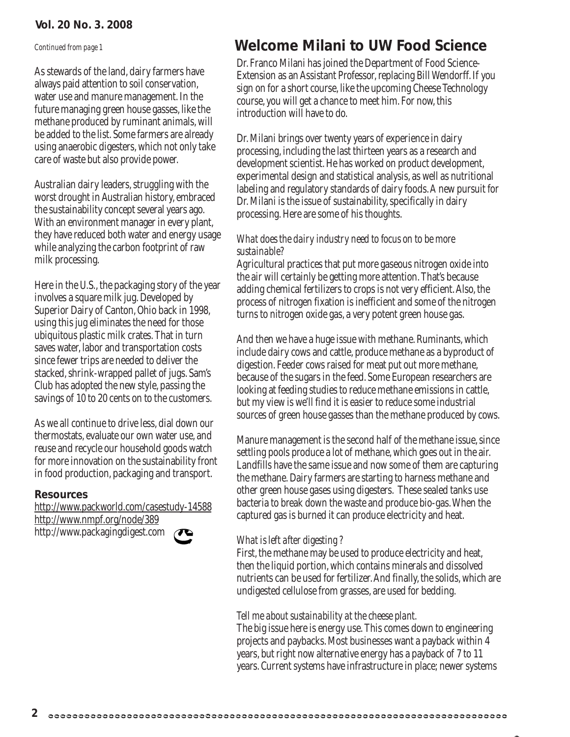### **Vol. 20 No. 3. 2008**

As stewards of the land, dairy farmers have always paid attention to soil conservation, water use and manure management. In the future managing green house gasses, like the methane produced by ruminant animals, will be added to the list. Some farmers are already using anaerobic digesters, which not only take care of waste but also provide power.

Australian dairy leaders, struggling with the worst drought in Australian history, embraced the sustainability concept several years ago. With an environment manager in every plant, they have reduced both water and energy usage while analyzing the carbon footprint of raw milk processing.

Here in the U.S., the packaging story of the year involves a square milk jug. Developed by Superior Dairy of Canton, Ohio back in 1998, using this jug eliminates the need for those ubiquitous plastic milk crates. That in turn saves water, labor and transportation costs since fewer trips are needed to deliver the stacked, shrink-wrapped pallet of jugs. Sam's Club has adopted the new style, passing the savings of 10 to 20 cents on to the customers.

As we all continue to drive less, dial down our thermostats, evaluate our own water use, and reuse and recycle our household goods watch for more innovation on the sustainability front in food production, packaging and transport.

#### **Resources**

http://www.packworld.com/casestudy-14588 http://www.nmpf.org/node/389 http://www.packagingdigest.com



### *Continued from page 1* **Welcome Milani to UW Food Science**

Dr. Franco Milani has joined the Department of Food Science-Extension as an Assistant Professor, replacing Bill Wendorff. If you sign on for a short course, like the upcoming Cheese Technology course, you will get a chance to meet him. For now, this introduction will have to do.

Dr. Milani brings over twenty years of experience in dairy processing, including the last thirteen years as a research and development scientist. He has worked on product development, experimental design and statistical analysis, as well as nutritional labeling and regulatory standards of dairy foods. A new pursuit for Dr. Milani is the issue of sustainability, specifically in dairy processing. Here are some of his thoughts.

### *What does the dairy industry need to focus on to be more sustainable?*

Agricultural practices that put more gaseous nitrogen oxide into the air will certainly be getting more attention. That's because adding chemical fertilizers to crops is not very efficient. Also, the process of nitrogen fixation is inefficient and some of the nitrogen turns to nitrogen oxide gas, a very potent green house gas.

And then we have a huge issue with methane. Ruminants, which include dairy cows and cattle, produce methane as a byproduct of digestion. Feeder cows raised for meat put out more methane, because of the sugars in the feed. Some European researchers are looking at feeding studies to reduce methane emissions in cattle, but my view is we'll find it is easier to reduce some industrial sources of green house gasses than the methane produced by cows.

Manure management is the second half of the methane issue, since settling pools produce a lot of methane, which goes out in the air. Landfills have the same issue and now some of them are capturing the methane. Dairy farmers are starting to harness methane and other green house gases using digesters. These sealed tanks use bacteria to break down the waste and produce bio-gas. When the captured gas is burned it can produce electricity and heat.

### *What is left after digesting ?*

First, the methane may be used to produce electricity and heat, then the liquid portion, which contains minerals and dissolved nutrients can be used for fertilizer. And finally, the solids, which are undigested cellulose from grasses, are used for bedding.

### *Tell me about sustainability at the cheese plant.*

The big issue here is energy use. This comes down to engineering projects and paybacks. Most businesses want a payback within 4 years, but right now alternative energy has a payback of 7 to 11 years. Current systems have infrastructure in place; newer systems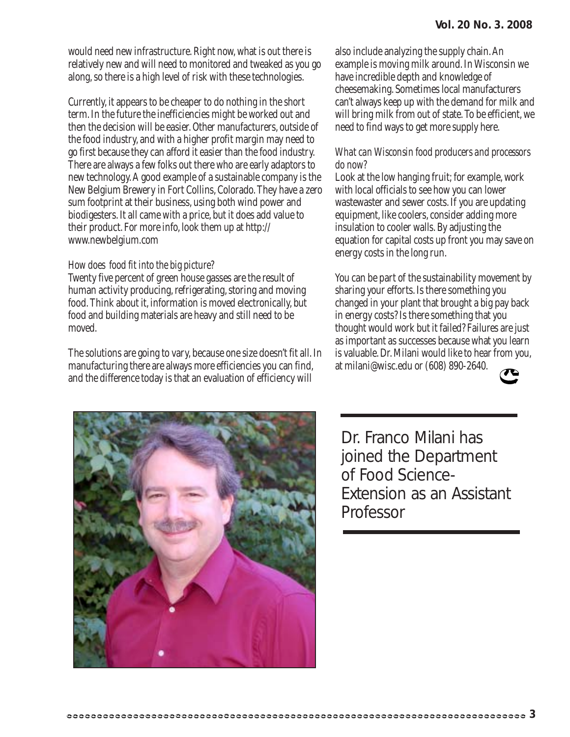would need new infrastructure. Right now, what is out there is relatively new and will need to monitored and tweaked as you go along, so there is a high level of risk with these technologies.

Currently, it appears to be cheaper to do nothing in the short term. In the future the inefficiencies might be worked out and then the decision will be easier. Other manufacturers, outside of the food industry, and with a higher profit margin may need to go first because they can afford it easier than the food industry. There are always a few folks out there who are early adaptors to new technology. A good example of a sustainable company is the New Belgium Brewery in Fort Collins, Colorado. They have a zero sum footprint at their business, using both wind power and biodigesters. It all came with a price, but it does add value to their product. For more info, look them up at http:// www.newbelgium.com

#### *How does food fit into the big picture?*

Twenty five percent of green house gasses are the result of human activity producing, refrigerating, storing and moving food. Think about it, information is moved electronically, but food and building materials are heavy and still need to be moved.

The solutions are going to vary, because one size doesn't fit all. In manufacturing there are always more efficiencies you can find, and the difference today is that an evaluation of efficiency will

also include analyzing the supply chain. An example is moving milk around. In Wisconsin we have incredible depth and knowledge of cheesemaking. Sometimes local manufacturers can't always keep up with the demand for milk and will bring milk from out of state. To be efficient, we need to find ways to get more supply here.

#### *What can Wisconsin food producers and processors do now?*

Look at the low hanging fruit; for example, work with local officials to see how you can lower wastewaster and sewer costs. If you are updating equipment, like coolers, consider adding more insulation to cooler walls. By adjusting the equation for capital costs up front you may save on energy costs in the long run.

You can be part of the sustainability movement by sharing your efforts. Is there something you changed in your plant that brought a big pay back in energy costs? Is there something that you thought would work but it failed? Failures are just as important as successes because what you learn is valuable. Dr. Milani would like to hear from you, at milani@wisc.edu or (608) 890-2640.





Dr. Franco Milani has joined the Department of Food Science-Extension as an Assistant Professor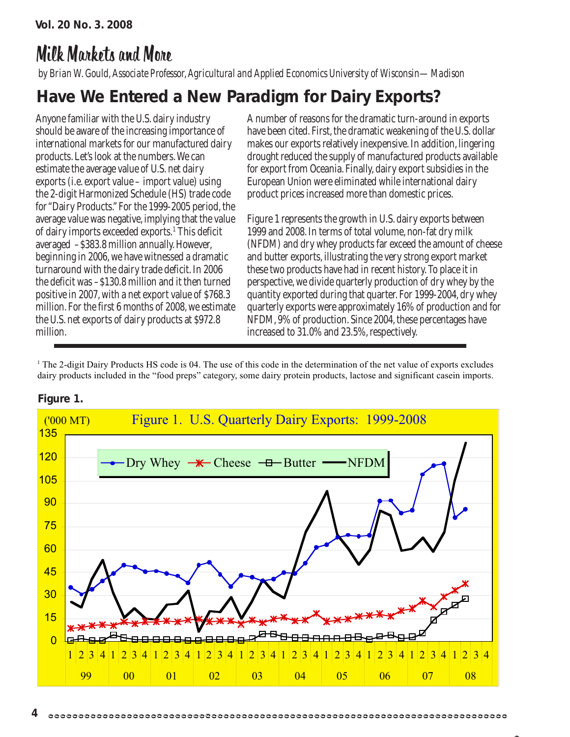### Milk Markets and More

*by Brian W. Gould, Associate Professor, Agricultural and Applied Economics University of Wisconsin—Madison*

### **Have We Entered a New Paradigm for Dairy Exports?**

Anyone familiar with the U.S. dairy industry should be aware of the increasing importance of international markets for our manufactured dairy products. Let's look at the numbers. We can estimate the average value of U.S. net dairy exports (i.e. export value – import value) using the 2-digit Harmonized Schedule (HS) trade code for "Dairy Products." For the 1999-2005 period, the average value was negative, implying that the value of dairy imports exceeded exports.<sup>1</sup> This deficit averaged –\$383.8 million annually. However, beginning in 2006, we have witnessed a dramatic turnaround with the dairy trade deficit. In 2006 the deficit was –\$130.8 million and it then turned positive in 2007, with a net export value of \$768.3 million. For the first 6 months of 2008, we estimate the U.S. net exports of dairy products at \$972.8 million.

A number of reasons for the dramatic turn-around in exports have been cited. First, the dramatic weakening of the U.S. dollar makes our exports relatively inexpensive. In addition, lingering drought reduced the supply of manufactured products available for export from Oceania. Finally, dairy export subsidies in the European Union were eliminated while international dairy product prices increased more than domestic prices.

Figure 1 represents the growth in U.S. dairy exports between 1999 and 2008. In terms of total volume, non-fat dry milk (NFDM) and dry whey products far exceed the amount of cheese and butter exports, illustrating the very strong export market these two products have had in recent history. To place it in perspective, we divide quarterly production of dry whey by the quantity exported during that quarter. For 1999-2004, dry whey quarterly exports were approximately 16% of production and for NFDM, 9% of production. Since 2004, these percentages have increased to 31.0% and 23.5%, respectively.

<sup>1</sup> The 2-digit Dairy Products HS code is 04. The use of this code in the determination of the net value of exports excludes dairy products included in the "food preps" category, some dairy protein products, lactose and significant casein imports.



#### **Figure 1.**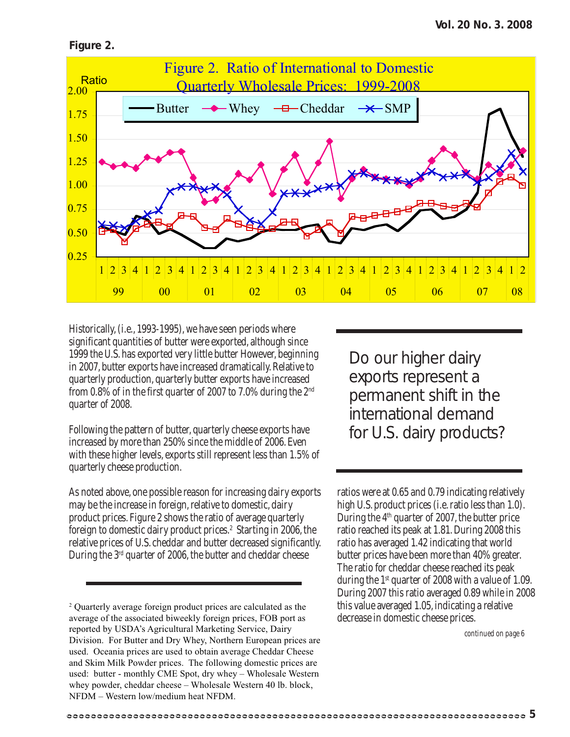



Historically, (i.e., 1993-1995), we have seen periods where significant quantities of butter were exported, although since 1999 the U.S. has exported very little butter However, beginning in 2007, butter exports have increased dramatically. Relative to quarterly production, quarterly butter exports have increased from 0.8% of in the first quarter of 2007 to 7.0% during the 2nd quarter of 2008.

Following the pattern of butter, quarterly cheese exports have increased by more than 250% since the middle of 2006. Even with these higher levels, exports still represent less than 1.5% of quarterly cheese production.

As noted above, one possible reason for increasing dairy exports may be the increase in foreign, relative to domestic, dairy product prices. Figure 2 shows the ratio of average quarterly foreign to domestic dairy product prices.<sup>2</sup> Starting in 2006, the relative prices of U.S. cheddar and butter decreased significantly. During the 3rd quarter of 2006, the butter and cheddar cheese

2 Quarterly average foreign product prices are calculated as the average of the associated biweekly foreign prices, FOB port as reported by USDA's Agricultural Marketing Service, Dairy Division. For Butter and Dry Whey, Northern European prices are used. Oceania prices are used to obtain average Cheddar Cheese and Skim Milk Powder prices. The following domestic prices are used: butter - monthly CME Spot, dry whey – Wholesale Western whey powder, cheddar cheese – Wholesale Western 40 lb. block, NFDM – Western low/medium heat NFDM.

Do our higher dairy exports represent a permanent shift in the international demand for U.S. dairy products?

ratios were at 0.65 and 0.79 indicating relatively high U.S. product prices (i.e. ratio less than 1.0). During the 4<sup>th</sup> quarter of 2007, the butter price ratio reached its peak at 1.81. During 2008 this ratio has averaged 1.42 indicating that world butter prices have been more than 40% greater. The ratio for cheddar cheese reached its peak during the  $1<sup>st</sup>$  quarter of 2008 with a value of 1.09. During 2007 this ratio averaged 0.89 while in 2008 this value averaged 1.05, indicating a relative decrease in domestic cheese prices.

*continued on page 6*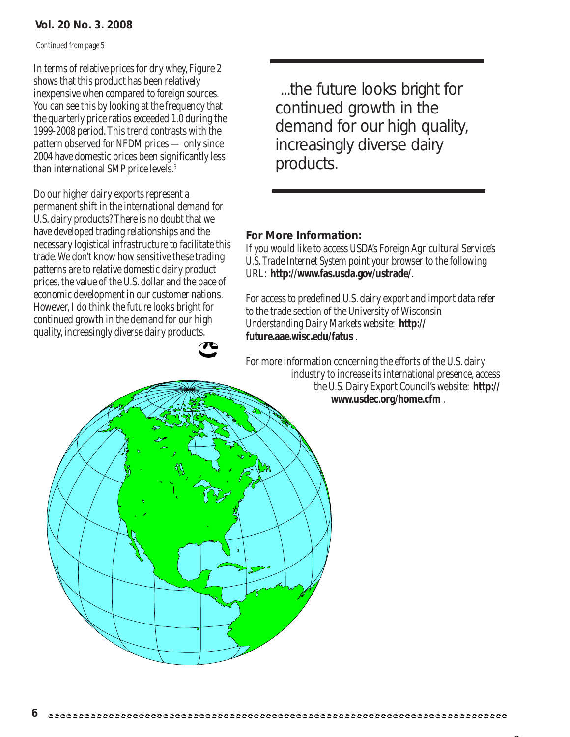### **Vol. 20 No. 3. 2008**

*Continued from page 5*

In terms of relative prices for dry whey, Figure 2 shows that this product has been relatively inexpensive when compared to foreign sources. You can see this by looking at the frequency that the quarterly price ratios exceeded 1.0 during the 1999-2008 period. This trend contrasts with the pattern observed for NFDM prices — only since 2004 have domestic prices been significantly less than international SMP price levels.3

Do our higher dairy exports represent a permanent shift in the international demand for U.S. dairy products? There is no doubt that we have developed trading relationships and the necessary logistical infrastructure to facilitate this trade. We don't know how sensitive these trading patterns are to relative domestic dairy product prices, the value of the U.S. dollar and the pace of economic development in our customer nations. However, I do think the future looks bright for continued growth in the demand for our high quality, increasingly diverse dairy products.

 ...the future looks bright for continued growth in the demand for our high quality, increasingly diverse dairy products.

### **For More Information:**

If you would like to access USDA's Foreign Agricultural Service's *U.S. Trade Internet System* point your browser to the following URL: **http://www.fas.usda.gov/ustrade/**.

For access to predefined U.S. dairy export and import data refer to the trade section of the University of Wisconsin *Understanding Dairy Markets* website: **http:// future.aae.wisc.edu/fatus** .

For more information concerning the efforts of the U.S. dairy industry to increase its international presence, access the U.S. Dairy Export Council's website: **http:// www.usdec.org/home.cfm** .

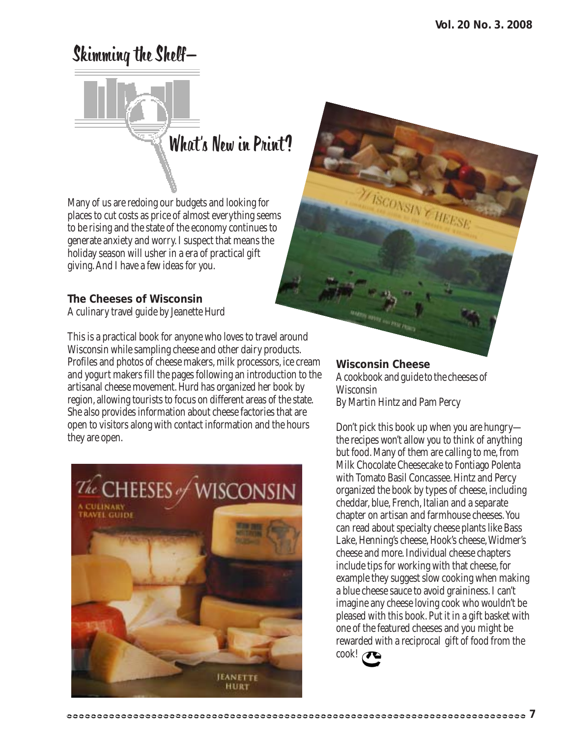### Skimming the Shelf—



Many of us are redoing our budgets and looking for places to cut costs as price of almost everything seems to be rising and the state of the economy continues to generate anxiety and worry. I suspect that means the holiday season will usher in a era of practical gift giving. And I have a few ideas for you.

### **The Cheeses of Wisconsin**

A culinary travel guide by Jeanette Hurd

This is a practical book for anyone who loves to travel around Wisconsin while sampling cheese and other dairy products. Profiles and photos of cheese makers, milk processors, ice cream and yogurt makers fill the pages following an introduction to the artisanal cheese movement. Hurd has organized her book by region, allowing tourists to focus on different areas of the state. She also provides information about cheese factories that are open to visitors along with contact information and the hours they are open.



### **Wisconsin Cheese**

A cookbook and guide to the cheeses of Wisconsin By Martin Hintz and Pam Percy

**ISCONSINY HEESE** 

Don't pick this book up when you are hungry the recipes won't allow you to think of anything but food. Many of them are calling to me, from Milk Chocolate Cheesecake to Fontiago Polenta with Tomato Basil Concassee. Hintz and Percy organized the book by types of cheese, including cheddar, blue, French, Italian and a separate chapter on artisan and farmhouse cheeses. You can read about specialty cheese plants like Bass Lake, Henning's cheese, Hook's cheese, Widmer's cheese and more. Individual cheese chapters include tips for working with that cheese, for example they suggest slow cooking when making a blue cheese sauce to avoid graininess. I can't imagine any cheese loving cook who wouldn't be pleased with this book. Put it in a gift basket with one of the featured cheeses and you might be rewarded with a reciprocal gift of food from the cook!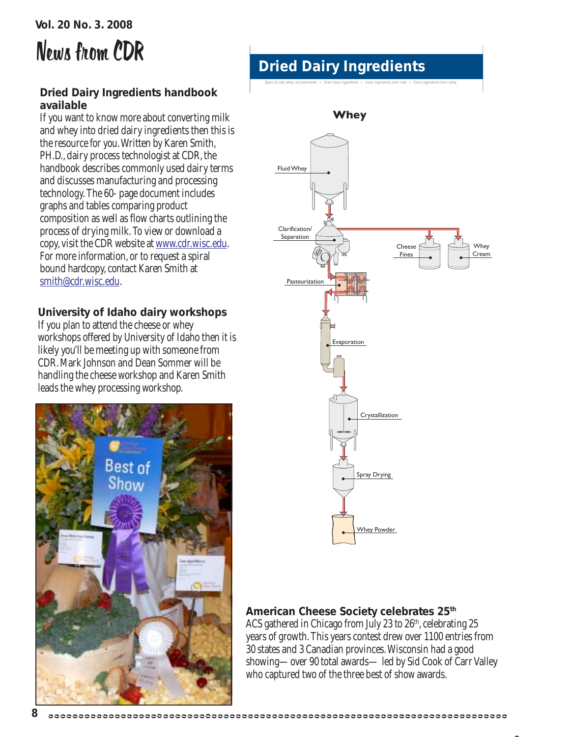## News from CDR

### **Dried Dairy Ingredients handbook available**

If you want to know more about converting milk and whey into dried dairy ingredients then this is the resource for you. Written by Karen Smith, PH.D., dairy process technologist at CDR, the handbook describes commonly used dairy terms and discusses manufacturing and processing technology. The 60- page document includes graphs and tables comparing product composition as well as flow charts outlining the process of drying milk. To view or download a copy, visit the CDR website at www.cdr.wisc.edu. For more information, or to request a spiral bound hardcopy, contact Karen Smith at smith@cdr.wisc.edu.

### **University of Idaho dairy workshops**

If you plan to attend the cheese or whey workshops offered by University of Idaho then it is likely you'll be meeting up with someone from CDR. Mark Johnson and Dean Sommer will be handling the cheese workshop and Karen Smith leads the whey processing workshop.



### **Dried Dairy Ingredients**

*Types of milk, whey and permeate Dried dairy ingredients Dairy ingredients from milk Dairy ingredients from whey*



### **American Cheese Society celebrates 25th**

ACS gathered in Chicago from July 23 to 26<sup>th</sup>, celebrating 25 years of growth. This years contest drew over 1100 entries from 30 states and 3 Canadian provinces. Wisconsin had a good showing—over 90 total awards— led by Sid Cook of Carr Valley who captured two of the three best of show awards.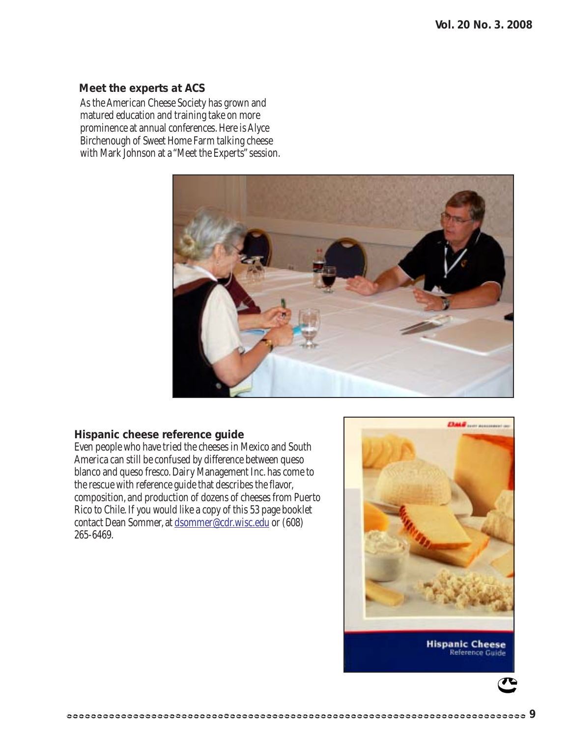#### **Meet the experts at ACS**

As the American Cheese Society has grown and matured education and training take on more prominence at annual conferences. Here is Alyce Birchenough of Sweet Home Farm talking cheese with Mark Johnson at a "Meet the Experts" session.



#### **Hispanic cheese reference guide**

Even people who have tried the cheeses in Mexico and South America can still be confused by difference between queso blanco and queso fresco. Dairy Management Inc. has come to the rescue with reference guide that describes the flavor, composition, and production of dozens of cheeses from Puerto Rico to Chile. If you would like a copy of this 53 page booklet contact Dean Sommer, at dsommer@cdr.wisc.edu or (608) 265-6469.



**Hispanic Cheese** Reference Guide

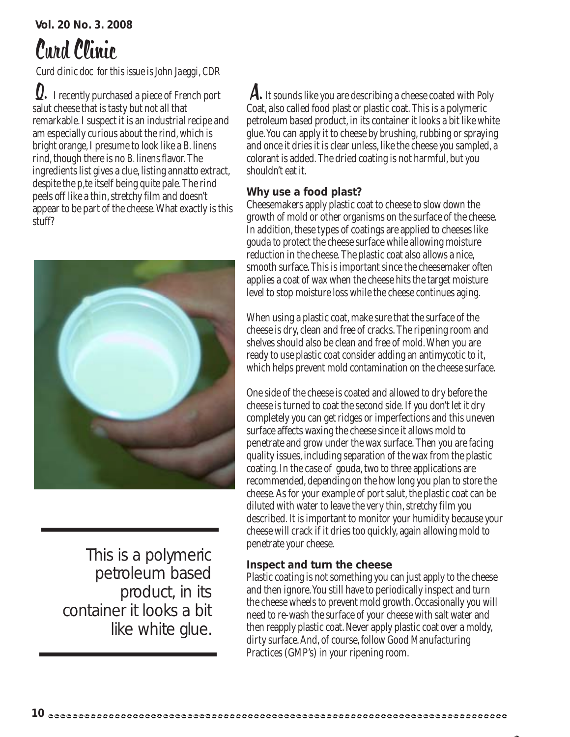# Curd Clinic

*Curd clinic doc for this issue is John Jaeggi, CDR*

**Q.** I recently purchased a piece of French port **A.** salut cheese that is tasty but not all that remarkable. I suspect it is an industrial recipe and am especially curious about the rind, which is bright orange, I presume to look like a *B. linens* rind, though there is no *B. linens* flavor. The ingredients list gives a clue, listing annatto extract, despite the p, te itself being quite pale. The rind peels off like a thin, stretchy film and doesn't appear to be part of the cheese. What exactly is this stuff?



This is a polymeric petroleum based product, in its container it looks a bit like white glue.

A. It sounds like you are describing a cheese coated with Poly Coat, also called food plast or plastic coat. This is a polymeric petroleum based product, in its container it looks a bit like white glue. You can apply it to cheese by brushing, rubbing or spraying and once it dries it is clear unless, like the cheese you sampled, a colorant is added. The dried coating is not harmful, but you shouldn't eat it.

### **Why use a food plast?**

Cheesemakers apply plastic coat to cheese to slow down the growth of mold or other organisms on the surface of the cheese. In addition, these types of coatings are applied to cheeses like gouda to protect the cheese surface while allowing moisture reduction in the cheese. The plastic coat also allows a nice, smooth surface. This is important since the cheesemaker often applies a coat of wax when the cheese hits the target moisture level to stop moisture loss while the cheese continues aging.

When using a plastic coat, make sure that the surface of the cheese is dry, clean and free of cracks. The ripening room and shelves should also be clean and free of mold. When you are ready to use plastic coat consider adding an antimycotic to it, which helps prevent mold contamination on the cheese surface.

One side of the cheese is coated and allowed to dry before the cheese is turned to coat the second side. If you don't let it dry completely you can get ridges or imperfections and this uneven surface affects waxing the cheese since it allows mold to penetrate and grow under the wax surface. Then you are facing quality issues, including separation of the wax from the plastic coating. In the case of gouda, two to three applications are recommended, depending on the how long you plan to store the cheese. As for your example of port salut, the plastic coat can be diluted with water to leave the very thin, stretchy film you described. It is important to monitor your humidity because your cheese will crack if it dries too quickly, again allowing mold to penetrate your cheese.

### **Inspect and turn the cheese**

Plastic coating is not something you can just apply to the cheese and then ignore. You still have to periodically inspect and turn the cheese wheels to prevent mold growth. Occasionally you will need to re-wash the surface of your cheese with salt water and then reapply plastic coat. Never apply plastic coat over a moldy, dirty surface. And, of course, follow Good Manufacturing Practices (GMP's) in your ripening room.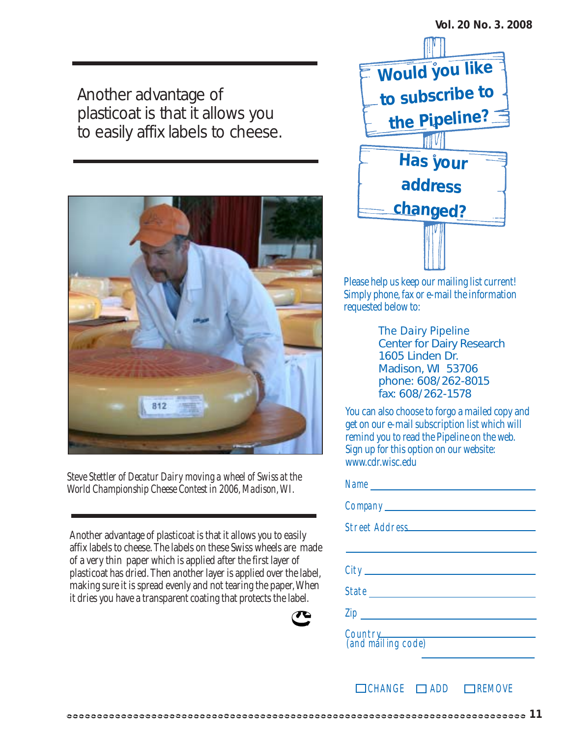Another advantage of plasticoat is that it allows you to easily affix labels to cheese.



*Steve Stettler of Decatur Dairy moving a wheel of Swiss at the World Championship Cheese Contest in 2006, Madison, WI.*

Another advantage of plasticoat is that it allows you to easily affix labels to cheese. The labels on these Swiss wheels are made of a very thin paper which is applied after the first layer of plasticoat has dried. Then another layer is applied over the label, making sure it is spread evenly and not tearing the paper, When it dries you have a transparent coating that protects the label.





Please help us keep our mailing list current! Simply phone, fax or e-mail the information requested below to:

> *The Dairy Pipeline* Center for Dairy Research 1605 Linden Dr. Madison, WI 53706 phone: 608/262-8015 fax: 608/262-1578

You can also choose to forgo a mailed copy and get on our e-mail subscription list which will remind you to read the Pipeline on the web. Sign up for this option on our website: www.cdr.wisc.edu

| Country<br>(and mailing code) |
|-------------------------------|

 $\Box$ CHANGE  $\Box$ ADD  $\Box$ REMOVE